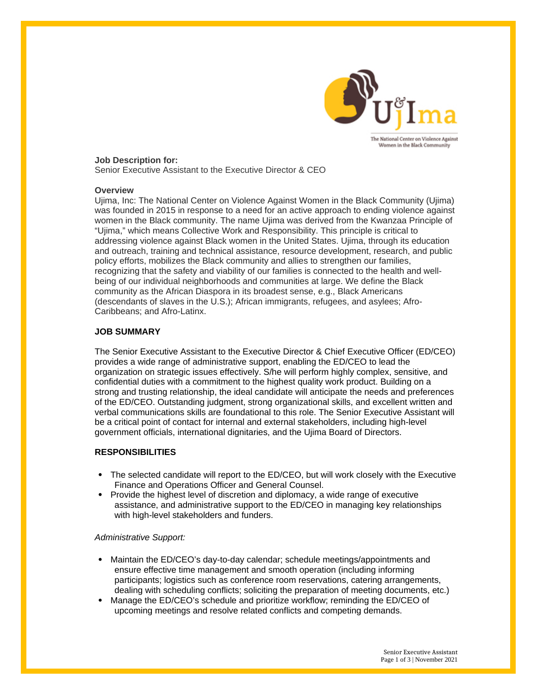

#### **Job Description for:**

Senior Executive Assistant to the Executive Director & CEO

#### **Overview**

Ujima, Inc: The National Center on Violence Against Women in the Black Community (Ujima) was founded in 2015 in response to a need for an active approach to ending violence against women in the Black community. The name Ujima was derived from the Kwanzaa Principle of "Ujima," which means Collective Work and Responsibility. This principle is critical to addressing violence against Black women in the United States. Ujima, through its education and outreach, training and technical assistance, resource development, research, and public policy efforts, mobilizes the Black community and allies to strengthen our families, recognizing that the safety and viability of our families is connected to the health and wellbeing of our individual neighborhoods and communities at large. We define the Black community as the African Diaspora in its broadest sense, e.g., Black Americans (descendants of slaves in the U.S.); African immigrants, refugees, and asylees; Afro-Caribbeans; and Afro-Latinx.

# **JOB SUMMARY**

The Senior Executive Assistant to the Executive Director & Chief Executive Officer (ED/CEO) provides a wide range of administrative support, enabling the ED/CEO to lead the organization on strategic issues effectively. S/he will perform highly complex, sensitive, and confidential duties with a commitment to the highest quality work product. Building on a strong and trusting relationship, the ideal candidate will anticipate the needs and preferences of the ED/CEO. Outstanding judgment, strong organizational skills, and excellent written and verbal communications skills are foundational to this role. The Senior Executive Assistant will be a critical point of contact for internal and external stakeholders, including high-level government officials, international dignitaries, and the Ujima Board of Directors.

# **RESPONSIBILITIES**

- The selected candidate will report to the ED/CEO, but will work closely with the Executive Finance and Operations Officer and General Counsel.
- Provide the highest level of discretion and diplomacy, a wide range of executive assistance, and administrative support to the ED/CEO in managing key relationships with high-level stakeholders and funders.

#### *Administrative Support:*

- Maintain the ED/CEO's day-to-day calendar; schedule meetings/appointments and ensure effective time management and smooth operation (including informing participants; logistics such as conference room reservations, catering arrangements, dealing with scheduling conflicts; soliciting the preparation of meeting documents, etc.)
- Manage the ED/CEO's schedule and prioritize workflow; reminding the ED/CEO of upcoming meetings and resolve related conflicts and competing demands.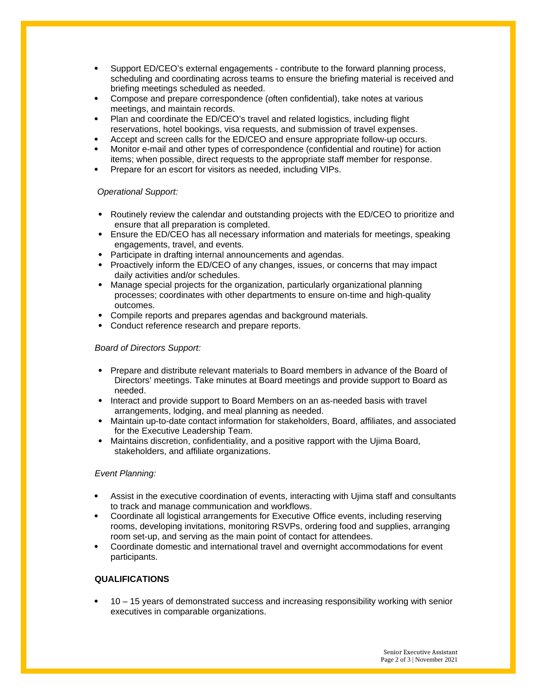- Support ED/CEO's external engagements contribute to the forward planning process, scheduling and coordinating across teams to ensure the briefing material is received and briefing meetings scheduled as needed.
- Compose and prepare correspondence (often confidential), take notes at various meetings, and maintain records.
- Plan and coordinate the ED/CEO's travel and related logistics, including flight reservations, hotel bookings, visa requests, and submission of travel expenses.
- Accept and screen calls for the ED/CEO and ensure appropriate follow-up occurs.
- Monitor e-mail and other types of correspondence (confidential and routine) for action items; when possible, direct requests to the appropriate staff member for response.
- Prepare for an escort for visitors as needed, including VIPs.

# *Operational Support:*

- Routinely review the calendar and outstanding projects with the ED/CEO to prioritize and ensure that all preparation is completed.
- Ensure the ED/CEO has all necessary information and materials for meetings, speaking engagements, travel, and events.
- Participate in drafting internal announcements and agendas.
- Proactively inform the ED/CEO of any changes, issues, or concerns that may impact daily activities and/or schedules.
- Manage special projects for the organization, particularly organizational planning processes; coordinates with other departments to ensure on-time and high-quality outcomes.
- Compile reports and prepares agendas and background materials.
- Conduct reference research and prepare reports.

# *Board of Directors Support:*

- Prepare and distribute relevant materials to Board members in advance of the Board of Directors' meetings. Take minutes at Board meetings and provide support to Board as needed.
- Interact and provide support to Board Members on an as-needed basis with travel arrangements, lodging, and meal planning as needed.
- Maintain up-to-date contact information for stakeholders, Board, affiliates, and associated for the Executive Leadership Team.
- Maintains discretion, confidentiality, and a positive rapport with the Ujima Board, stakeholders, and affiliate organizations.

# *Event Planning:*

- Assist in the executive coordination of events, interacting with Ujima staff and consultants to track and manage communication and workflows.
- Coordinate all logistical arrangements for Executive Office events, including reserving rooms, developing invitations, monitoring RSVPs, ordering food and supplies, arranging room set-up, and serving as the main point of contact for attendees.
- Coordinate domestic and international travel and overnight accommodations for event participants.

# **QUALIFICATIONS**

 10 – 15 years of demonstrated success and increasing responsibility working with senior executives in comparable organizations.